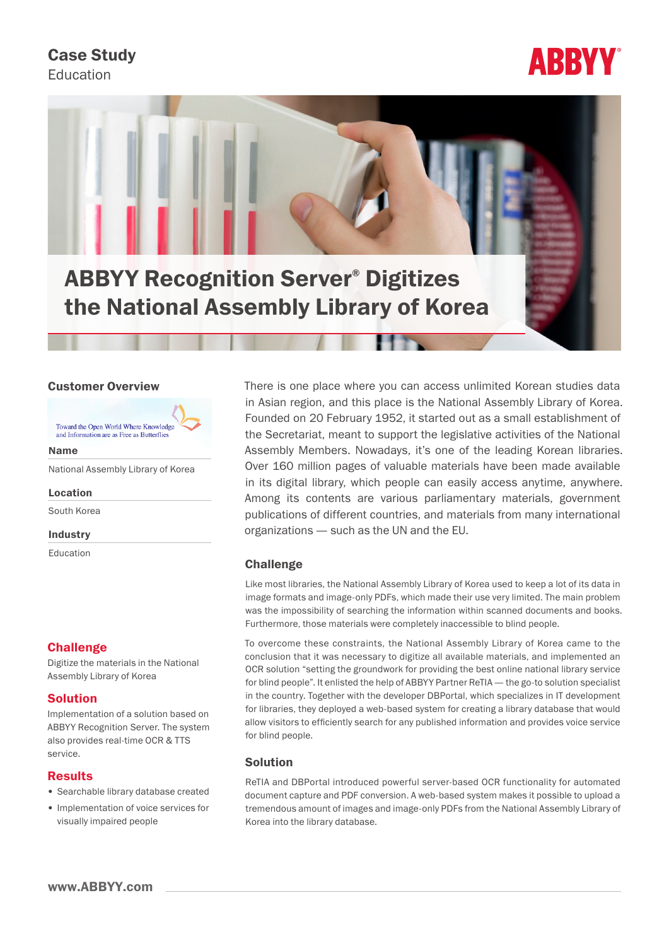# Case Study

Education





#### Customer Overview

Toward the Open World Where Knowledge and Information are as Free as Butterflie

Name

National Assembly Library of Korea

Location

South Korea

Industry

Education

# **Challenge**

Digitize the materials in the National Assembly Library of Korea

# Solution

Implementation of a solution based on ABBYY Recognition Server. The system also provides real-time OCR & TTS service.

# Results

- Searchable library database created
- Implementation of voice services for visually impaired people

There is one place where you can access unlimited Korean studies data in Asian region, and this place is the National Assembly Library of Korea. Founded on 20 February 1952, it started out as a small establishment of the Secretariat, meant to support the legislative activities of the National Assembly Members. Nowadays, it's one of the leading Korean libraries. Over 160 million pages of valuable materials have been made available in its digital library, which people can easily access anytime, anywhere. Among its contents are various parliamentary materials, government publications of different countries, and materials from many international organizations — such as the UN and the EU.

# **Challenge**

Like most libraries, the National Assembly Library of Korea used to keep a lot of its data in image formats and image-only PDFs, which made their use very limited. The main problem was the impossibility of searching the information within scanned documents and books. Furthermore, those materials were completely inaccessible to blind people.

To overcome these constraints, the National Assembly Library of Korea came to the conclusion that it was necessary to digitize all available materials, and implemented an OCR solution "setting the groundwork for providing the best online national library service for blind people". It enlisted the help of ABBYY Partner ReTIA — the go-to solution specialist in the country. Together with the developer DBPortal, which specializes in IT development for libraries, they deployed a web-based system for creating a library database that would allow visitors to efficiently search for any published information and provides voice service for blind people.

# Solution

ReTIA and DBPortal introduced powerful server-based OCR functionality for automated document capture and PDF conversion. A web-based system makes it possible to upload a tremendous amount of images and image-only PDFs from the National Assembly Library of Korea into the library database.